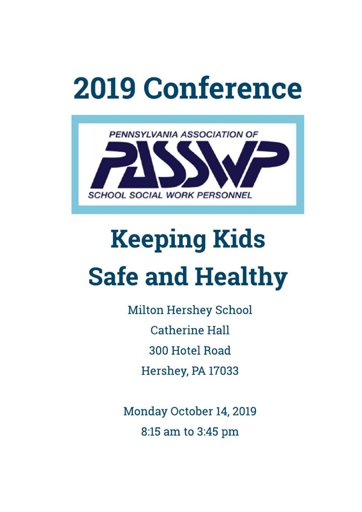# **2019 Conference**



# **Keeping Kids Safe and Healthy**

**Milton Hershey School Catherine Hall** 300 Hotel Road Hershey, PA 17033

Monday October 14, 2019 8:15 am to 3:45 pm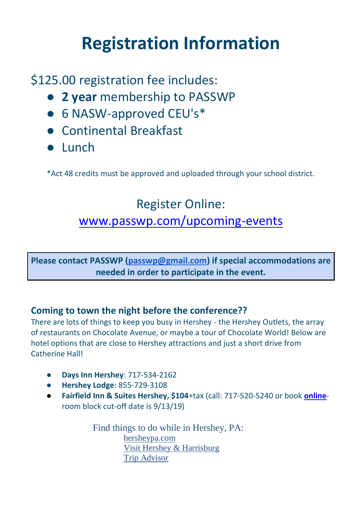### **Registration Information**

\$125.00 registration fee includes:

- **2 year** membership to PASSWP
- 6 NASW-approved CEU's\*
- Continental Breakfast
- Lunch

\*Act 48 credits must be approved and uploaded through your school district.

#### Register Online:

#### [www.passwp.com/upcoming-events](http://www.passwp.com/upcoming-events)

**Please contact PASSWP [\(passwp@gmail.com\)](mailto:passwp@gmail.com) if special accommodations are needed in order to participate in the event.**

#### **Coming to town the night before the conference??**

There are lots of things to keep you busy in Hershey - the Hershey Outlets, the array of restaurants on Chocolate Avenue, or maybe a tour of Chocolate World! Below are hotel options that are close to Hershey attractions and just a short drive from Catherine Hall!

- **Days Inn Hershey**: 717-534-2162
- **Hershey Lodge**: 855-729-3108
- **Fairfield Inn & Suites Hershey, \$104**+tax (call: 717-520-5240 or book **[online](https://www.marriott.com/meeting-event-hotels/group-corporate-travel/groupCorp.mi?resLinkData=PASSWP%202019%5EHARHS%60PASPASA%7CPASPASB%7CPASPASC%7CPASPASD%60104.00%60USD%60false%605%6010/13/19%6010/14/19%609/13/2019&app=resvlink&stop_mobi=yes)**room block cut-off date is 9/13/19)

Find things to do while in Hershey, PA: [hersheypa.com](https://www.hersheypa.com/things-to-do/index.php) [Visit Hershey & Harrisburg](https://www.visithersheyharrisburg.org/things-to-do/) [Trip Advisor](https://www.tripadvisor.com/Attractions-g52819-Activities-Hershey_Pennsylvania.html)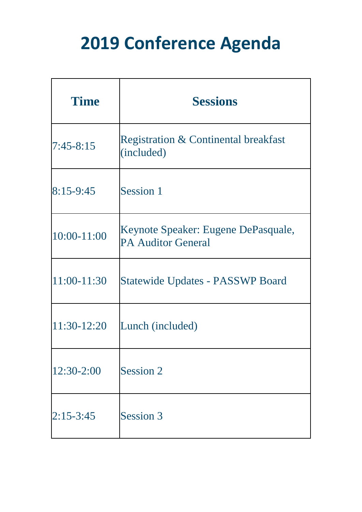# **2019 Conference Agenda**

| <b>Time</b>   | <b>Sessions</b>                                                  |
|---------------|------------------------------------------------------------------|
| $7:45 - 8:15$ | <b>Registration &amp; Continental breakfast</b><br>(included)    |
| $8:15-9:45$   | Session 1                                                        |
| 10:00-11:00   | Keynote Speaker: Eugene DePasquale,<br><b>PA Auditor General</b> |
| 11:00-11:30   | <b>Statewide Updates - PASSWP Board</b>                          |
| 11:30-12:20   | Lunch (included)                                                 |
| 12:30-2:00    | Session 2                                                        |
| $2:15 - 3:45$ | Session 3                                                        |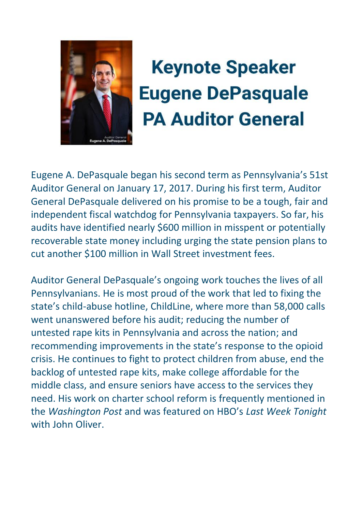

# **Keynote Speaker Eugene DePasquale PA Auditor General**

Eugene A. DePasquale began his second term as Pennsylvania's 51st Auditor General on January 17, 2017. During his first term, Auditor General DePasquale delivered on his promise to be a tough, fair and independent fiscal watchdog for Pennsylvania taxpayers. So far, his audits have identified nearly \$600 million in misspent or potentially recoverable state money including urging the state pension plans to cut another \$100 million in Wall Street investment fees.

Auditor General DePasquale's ongoing work touches the lives of all Pennsylvanians. He is most proud of the work that led to fixing the state's child-abuse hotline, ChildLine, where more than 58,000 calls went unanswered before his audit; reducing the number of untested rape kits in Pennsylvania and across the nation; and recommending improvements in the state's response to the opioid crisis. He continues to fight to protect children from abuse, end the backlog of untested rape kits, make college affordable for the middle class, and ensure seniors have access to the services they need. His work on charter school reform is frequently mentioned in the *Washington Post* and was featured on HBO's *Last Week Tonight*  with John Oliver.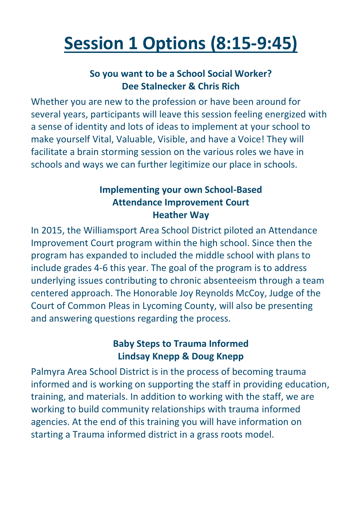# **Session 1 Options (8:15-9:45)**

#### **So you want to be a School Social Worker? Dee Stalnecker & Chris Rich**

Whether you are new to the profession or have been around for several years, participants will leave this session feeling energized with a sense of identity and lots of ideas to implement at your school to make yourself Vital, Valuable, Visible, and have a Voice! They will facilitate a brain storming session on the various roles we have in schools and ways we can further legitimize our place in schools.

#### **Implementing your own School-Based Attendance Improvement Court Heather Way**

In 2015, the Williamsport Area School District piloted an Attendance Improvement Court program within the high school. Since then the program has expanded to included the middle school with plans to include grades 4-6 this year. The goal of the program is to address underlying issues contributing to chronic absenteeism through a team centered approach. The Honorable Joy Reynolds McCoy, Judge of the Court of Common Pleas in Lycoming County, will also be presenting and answering questions regarding the process.

#### **Baby Steps to Trauma Informed Lindsay Knepp & Doug Knepp**

Palmyra Area School District is in the process of becoming trauma informed and is working on supporting the staff in providing education, training, and materials. In addition to working with the staff, we are working to build community relationships with trauma informed agencies. At the end of this training you will have information on starting a Trauma informed district in a grass roots model.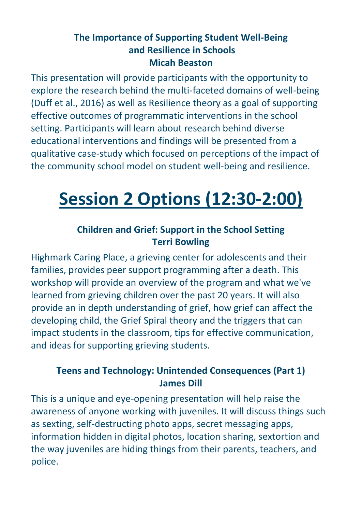#### **The Importance of Supporting Student Well-Being and Resilience in Schools Micah Beaston**

This presentation will provide participants with the opportunity to explore the research behind the multi-faceted domains of well-being (Duff et al., 2016) as well as Resilience theory as a goal of supporting effective outcomes of programmatic interventions in the school setting. Participants will learn about research behind diverse educational interventions and findings will be presented from a qualitative case-study which focused on perceptions of the impact of the community school model on student well-being and resilience.

## **Session 2 Options (12:30-2:00)**

#### **Children and Grief: Support in the School Setting Terri Bowling**

Highmark Caring Place, a grieving center for adolescents and their families, provides peer support programming after a death. This workshop will provide an overview of the program and what we've learned from grieving children over the past 20 years. It will also provide an in depth understanding of grief, how grief can affect the developing child, the Grief Spiral theory and the triggers that can impact students in the classroom, tips for effective communication, and ideas for supporting grieving students.

#### **Teens and Technology: Unintended Consequences (Part 1) James Dill**

This is a unique and eye-opening presentation will help raise the awareness of anyone working with juveniles. It will discuss things such as sexting, self-destructing photo apps, secret messaging apps, information hidden in digital photos, location sharing, sextortion and the way juveniles are hiding things from their parents, teachers, and police.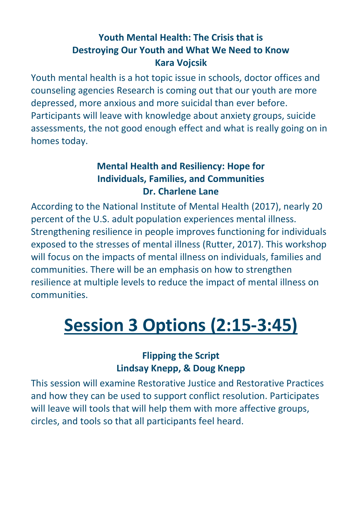#### **Youth Mental Health: The Crisis that is Destroying Our Youth and What We Need to Know Kara Vojcsik**

Youth mental health is a hot topic issue in schools, doctor offices and counseling agencies Research is coming out that our youth are more depressed, more anxious and more suicidal than ever before. Participants will leave with knowledge about anxiety groups, suicide assessments, the not good enough effect and what is really going on in homes today.

#### **Mental Health and Resiliency: Hope for Individuals, Families, and Communities Dr. Charlene Lane**

According to the National Institute of Mental Health (2017), nearly 20 percent of the U.S. adult population experiences mental illness. Strengthening resilience in people improves functioning for individuals exposed to the stresses of mental illness (Rutter, 2017). This workshop will focus on the impacts of mental illness on individuals, families and communities. There will be an emphasis on how to strengthen resilience at multiple levels to reduce the impact of mental illness on communities.

# **Session 3 Options (2:15-3:45)**

#### **Flipping the Script Lindsay Knepp, & Doug Knepp**

This session will examine Restorative Justice and Restorative Practices and how they can be used to support conflict resolution. Participates will leave will tools that will help them with more affective groups, circles, and tools so that all participants feel heard.